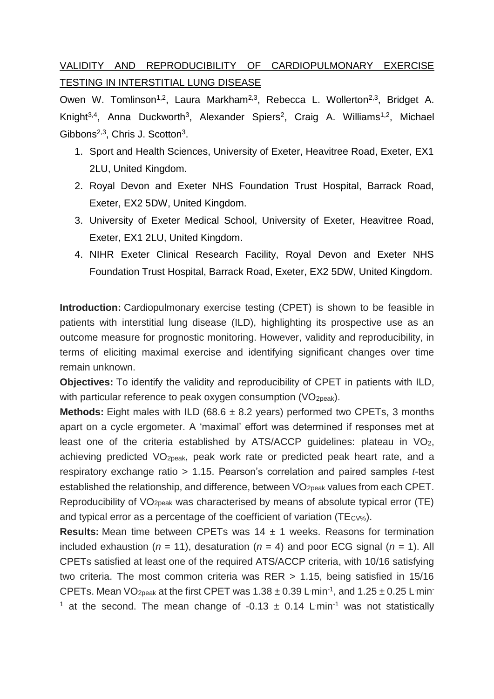## VALIDITY AND REPRODUCIBILITY OF CARDIOPULMONARY EXERCISE TESTING IN INTERSTITIAL LUNG DISEASE

Owen W. Tomlinson<sup>1,2</sup>, Laura Markham<sup>2,3</sup>, Rebecca L. Wollerton<sup>2,3</sup>, Bridget A. Knight<sup>3,4</sup>, Anna Duckworth<sup>3</sup>, Alexander Spiers<sup>2</sup>, Craig A. Williams<sup>1,2</sup>, Michael Gibbons<sup>2,3</sup>, Chris J. Scotton<sup>3</sup>.

- 1. Sport and Health Sciences, University of Exeter, Heavitree Road, Exeter, EX1 2LU, United Kingdom.
- 2. Royal Devon and Exeter NHS Foundation Trust Hospital, Barrack Road, Exeter, EX2 5DW, United Kingdom.
- 3. University of Exeter Medical School, University of Exeter, Heavitree Road, Exeter, EX1 2LU, United Kingdom.
- 4. NIHR Exeter Clinical Research Facility, Royal Devon and Exeter NHS Foundation Trust Hospital, Barrack Road, Exeter, EX2 5DW, United Kingdom.

**Introduction:** Cardiopulmonary exercise testing (CPET) is shown to be feasible in patients with interstitial lung disease (ILD), highlighting its prospective use as an outcome measure for prognostic monitoring. However, validity and reproducibility, in terms of eliciting maximal exercise and identifying significant changes over time remain unknown.

**Objectives:** To identify the validity and reproducibility of CPET in patients with ILD, with particular reference to peak oxygen consumption (VO<sub>2peak</sub>).

**Methods:** Eight males with ILD (68.6 ± 8.2 years) performed two CPETs, 3 months apart on a cycle ergometer. A 'maximal' effort was determined if responses met at least one of the criteria established by ATS/ACCP guidelines: plateau in VO2, achieving predicted VO2peak, peak work rate or predicted peak heart rate, and a respiratory exchange ratio > 1.15. Pearson's correlation and paired samples *t*-test established the relationship, and difference, between VO<sub>2peak</sub> values from each CPET. Reproducibility of VO2peak was characterised by means of absolute typical error (TE) and typical error as a percentage of the coefficient of variation ( $TE_{CV\%}$ ).

**Results:** Mean time between CPETs was 14 ± 1 weeks. Reasons for termination included exhaustion ( $n = 11$ ), desaturation ( $n = 4$ ) and poor ECG signal ( $n = 1$ ). All CPETs satisfied at least one of the required ATS/ACCP criteria, with 10/16 satisfying two criteria. The most common criteria was RER > 1.15, being satisfied in 15/16 CPETs. Mean VO<sub>2peak</sub> at the first CPET was  $1.38 \pm 0.39$  L min<sup>-1</sup>, and  $1.25 \pm 0.25$  L min <sup>1</sup> at the second. The mean change of -0.13  $\pm$  0.14 L min<sup>-1</sup> was not statistically